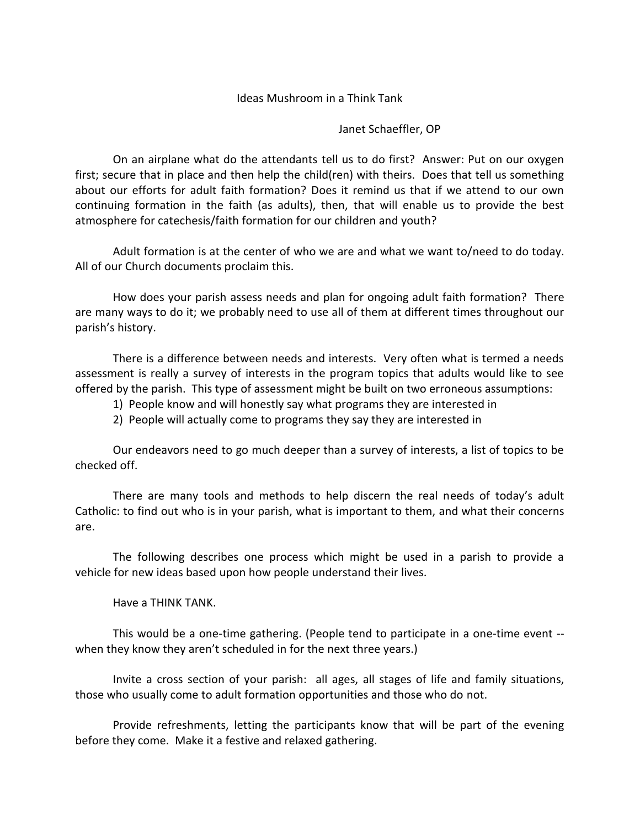## Ideas Mushroom in a Think Tank

## Janet Schaeffler, OP

On an airplane what do the attendants tell us to do first? Answer: Put on our oxygen first; secure that in place and then help the child(ren) with theirs. Does that tell us something about our efforts for adult faith formation? Does it remind us that if we attend to our own continuing formation in the faith (as adults), then, that will enable us to provide the best atmosphere for catechesis/faith formation for our children and youth?

Adult formation is at the center of who we are and what we want to/need to do today. All of our Church documents proclaim this.

How does your parish assess needs and plan for ongoing adult faith formation? There are many ways to do it; we probably need to use all of them at different times throughout our parish's history.

There is a difference between needs and interests. Very often what is termed a needs assessment is really a survey of interests in the program topics that adults would like to see offered by the parish. This type of assessment might be built on two erroneous assumptions:

- 1) People know and will honestly say what programs they are interested in
- 2) People will actually come to programs they say they are interested in

Our endeavors need to go much deeper than a survey of interests, a list of topics to be checked off.

There are many tools and methods to help discern the real needs of today's adult Catholic: to find out who is in your parish, what is important to them, and what their concerns are.

The following describes one process which might be used in a parish to provide a vehicle for new ideas based upon how people understand their lives.

Have a THINK TANK.

This would be a one-time gathering. (People tend to participate in a one-time event - when they know they aren't scheduled in for the next three years.)

Invite a cross section of your parish: all ages, all stages of life and family situations, those who usually come to adult formation opportunities and those who do not.

Provide refreshments, letting the participants know that will be part of the evening before they come. Make it a festive and relaxed gathering.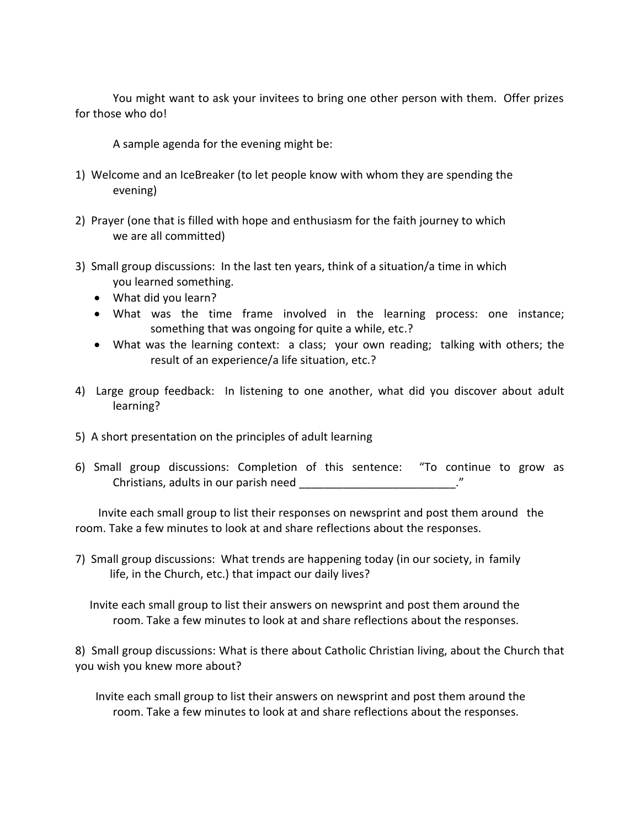You might want to ask your invitees to bring one other person with them. Offer prizes for those who do!

A sample agenda for the evening might be:

- 1) Welcome and an IceBreaker (to let people know with whom they are spending the evening)
- 2) Prayer (one that is filled with hope and enthusiasm for the faith journey to which we are all committed)
- 3) Small group discussions: In the last ten years, think of a situation/a time in which you learned something.
	- What did you learn?
	- What was the time frame involved in the learning process: one instance; something that was ongoing for quite a while, etc.?
	- What was the learning context: a class; your own reading; talking with others; the result of an experience/a life situation, etc.?
- 4) Large group feedback: In listening to one another, what did you discover about adult learning?
- 5) A short presentation on the principles of adult learning
- 6) Small group discussions: Completion of this sentence: "To continue to grow as Christians, adults in our parish need  $\blacksquare$

 Invite each small group to list their responses on newsprint and post them around the room. Take a few minutes to look at and share reflections about the responses.

7) Small group discussions: What trends are happening today (in our society, in family life, in the Church, etc.) that impact our daily lives?

 Invite each small group to list their answers on newsprint and post them around the room. Take a few minutes to look at and share reflections about the responses.

8) Small group discussions: What is there about Catholic Christian living, about the Church that you wish you knew more about?

 Invite each small group to list their answers on newsprint and post them around the room. Take a few minutes to look at and share reflections about the responses.